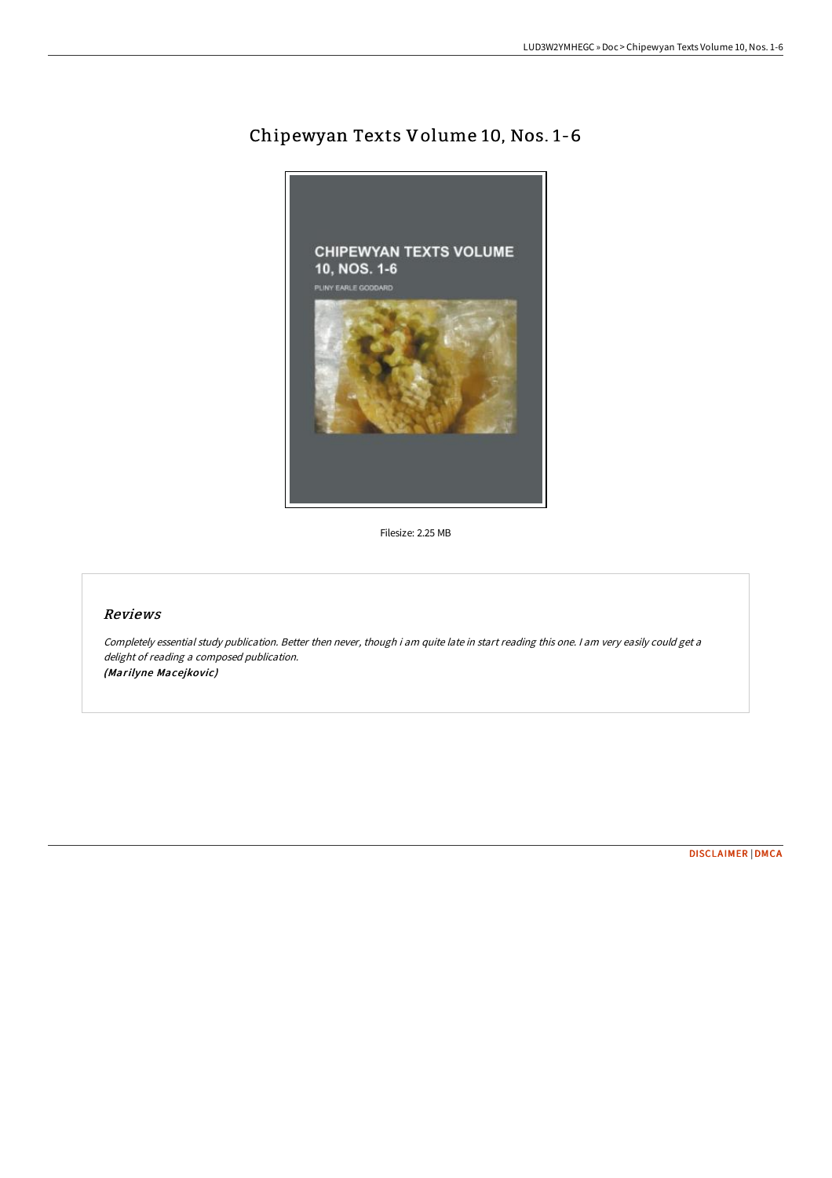# Chipewyan Texts Volume 10, Nos. 1-6



Filesize: 2.25 MB

## Reviews

Completely essential study publication. Better then never, though i am quite late in start reading this one. I am very easily could get <sup>a</sup> delight of reading <sup>a</sup> composed publication. (Marilyne Macejkovic)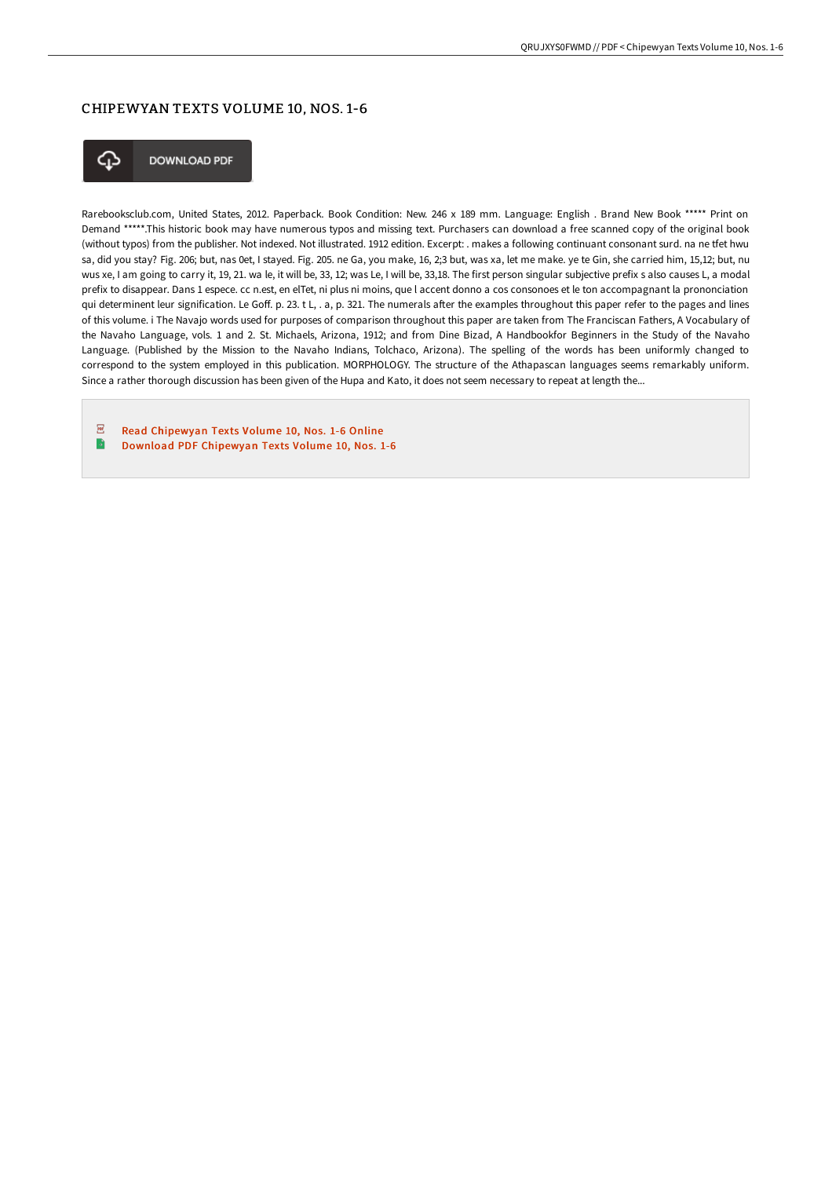## CHIPEWYAN TEXTS VOLUME 10, NOS. 1-6



**DOWNLOAD PDF** 

Rarebooksclub.com, United States, 2012. Paperback. Book Condition: New. 246 x 189 mm. Language: English . Brand New Book \*\*\*\*\* Print on Demand \*\*\*\*\*.This historic book may have numerous typos and missing text. Purchasers can download a free scanned copy of the original book (without typos) from the publisher. Not indexed. Not illustrated. 1912 edition. Excerpt: . makes a following continuant consonant surd. na ne tfet hwu sa, did you stay? Fig. 206; but, nas 0et, I stayed. Fig. 205. ne Ga, you make, 16, 2;3 but, was xa, let me make. ye te Gin, she carried him, 15,12; but, nu wus xe, I am going to carry it, 19, 21. wa le, it will be, 33, 12; was Le, I will be, 33,18. The first person singular subjective prefix s also causes L, a modal prefix to disappear. Dans 1 espece. cc n.est, en elTet, ni plus ni moins, que l accent donno a cos consonoes et le ton accompagnant la prononciation qui determinent leur signification. Le Goff. p. 23. t L, . a, p. 321. The numerals after the examples throughout this paper refer to the pages and lines of this volume. i The Navajo words used for purposes of comparison throughout this paper are taken from The Franciscan Fathers, A Vocabulary of the Navaho Language, vols. 1 and 2. St. Michaels, Arizona, 1912; and from Dine Bizad, A Handbookfor Beginners in the Study of the Navaho Language. (Published by the Mission to the Navaho Indians, Tolchaco, Arizona). The spelling of the words has been uniformly changed to correspond to the system employed in this publication. MORPHOLOGY. The structure of the Athapascan languages seems remarkably uniform. Since a rather thorough discussion has been given of the Hupa and Kato, it does not seem necessary to repeat at length the...

 $\overline{p}$ Read [Chipewyan](http://albedo.media/chipewyan-texts-volume-10-nos-1-6-paperback.html) Texts Volume 10, Nos. 1-6 Online  $\overline{\phantom{a}}$ Download PDF [Chipewyan](http://albedo.media/chipewyan-texts-volume-10-nos-1-6-paperback.html) Texts Volume 10, Nos. 1-6